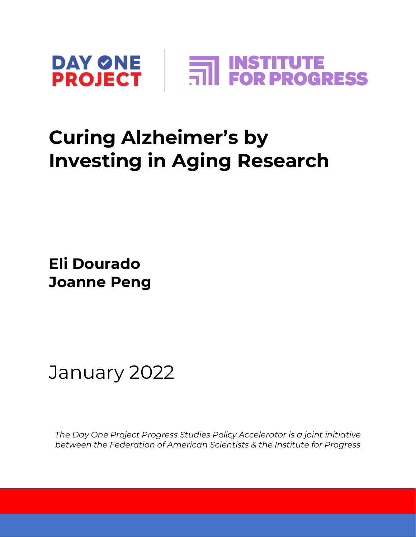

### **Curing Alzheimer's by Investing in Aging Research**

**Eli Dourado Joanne Peng**

January 2022

*The Day One Project Progress Studies Policy Accelerator is a joint initiative between the Federation of American Scientists & the Institute for Progress*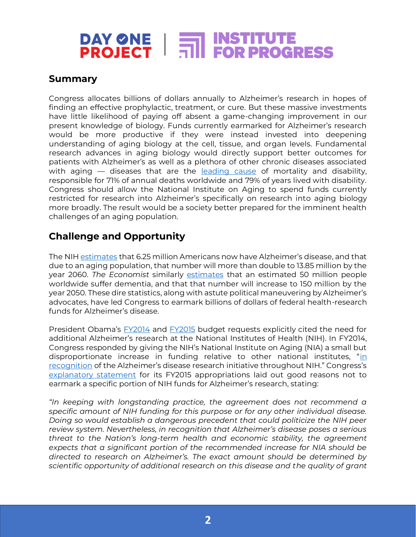# **DAY ONE | FOR PROGRESS**

#### **Summary**

Congress allocates billions of dollars annually to Alzheimer's research in hopes of finding an effective prophylactic, treatment, or cure. But these massive investments have little likelihood of paying off absent a game-changing improvement in our present knowledge of biology. Funds currently earmarked for Alzheimer's research would be more productive if they were instead invested into deepening understanding of aging biology at the cell, tissue, and organ levels. Fundamental research advances in aging biology would directly support better outcomes for patients with Alzheimer's as well as a plethora of other chronic diseases associated with aging — diseases that are the [leading cause](https://www.nature.com/articles/s41536-021-00169-5) of mortality and disability, responsible for 71% of annual deaths worldwide and 79% of years lived with disability. Congress should allow the National Institute on Aging to spend funds currently restricted for research into Alzheimer's specifically on research into aging biology more broadly. The result would be a society better prepared for the imminent health challenges of an aging population.

#### **Challenge and Opportunity**

The NI[H estimates](https://www.nia.nih.gov/sites/default/files/2021-07/bypass_budget_executive_summary_508.pdf) that 6.25 million Americans now have Alzheimer's disease, and that due to an aging population, that number will more than double to 13.85 million by the year 2060. *The Economist* similarly [estimates](https://www.economist.com/leaders/2020/08/27/the-rising-prevalence-of-dementia-is-a-global-emergency) that an estimated 50 million people worldwide suffer dementia, and that that number will increase to 150 million by the year 2050. These dire statistics, along with astute political maneuvering by Alzheimer's advocates, have led Congress to earmark billions of dollars of federal health-research funds for Alzheimer's disease.

President Obama's **[FY2014](https://www.govinfo.gov/content/pkg/BUDGET-2014-BUD/pdf/BUDGET-2014-BUD.pdf)** and [FY2015](https://www.govinfo.gov/content/pkg/CREC-2014-01-15/pdf/CREC-2014-01-15-bk2.pdf) budget requests explicitly cited the need for additional Alzheimer's research at the National Institutes of Health (NIH). In FY2014, Congress responded by giving the NIH's National Institute on Aging (NIA) a small but disproportionate increase [in](https://www.govinfo.gov/content/pkg/CREC-2014-01-15/pdf/CREC-2014-01-15-bk2.pdf) funding relative to other national institutes, "in [recognition](https://www.govinfo.gov/content/pkg/CREC-2014-01-15/pdf/CREC-2014-01-15-bk2.pdf) of the Alzheimer's disease research initiative throughout NIH." Congress's [explanatory statement](https://www.govinfo.gov/content/pkg/CREC-2014-12-11/pdf/CREC-2014-12-11-house-bk2.pdf) for its FY2015 appropriations laid out good reasons not to earmark a specific portion of NIH funds for Alzheimer's research, stating:

*"In keeping with longstanding practice, the agreement does not recommend a specific amount of NIH funding for this purpose or for any other individual disease. Doing so would establish a dangerous precedent that could politicize the NIH peer review system. Nevertheless, in recognition that Alzheimer's disease poses a serious threat to the Nation's long-term health and economic stability, the agreement expects that a significant portion of the recommended increase for NIA should be directed to research on Alzheimer's. The exact amount should be determined by scientific opportunity of additional research on this disease and the quality of grant*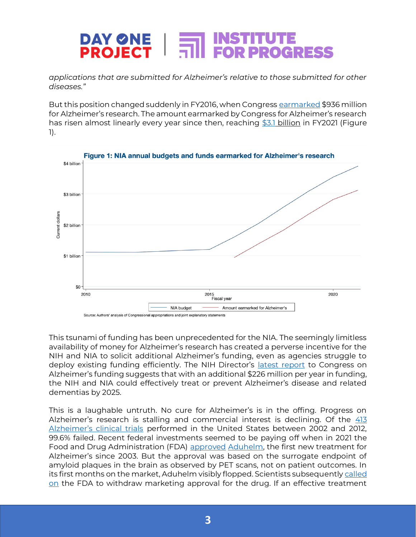#### DAY ØNE |<br>PROJECT | **FOR PROGRESS**

*applications that are submitted for Alzheimer's relative to those submitted for other diseases."*

But this position changed suddenly in FY2016, when Congres[s earmarked](https://www.congress.gov/crec/2015/12/17/CREC-2015-12-17-bk3.pdf) \$936 million for Alzheimer's research. The amount earmarked by Congress for Alzheimer's research has risen almost linearly every year since then, reaching [\\$3.1](https://www.congress.gov/117/cprt/HPRT43750/CPRT-117HPRT43750.pdf) billion in FY2021 (Figure 1).



This tsunami of funding has been unprecedented for the NIA. The seemingly limitless availability of money for Alzheimer's research has created a perverse incentive for the NIH and NIA to solicit additional Alzheimer's funding, even as agencies struggle to deploy existing funding efficiently. The NIH Director's [latest report](https://www.nia.nih.gov/sites/default/files/2021-07/bypass_budget_executive_summary_508.pdf) to Congress on Alzheimer's funding suggests that with an additional \$226 million per year in funding, the NIH and NIA could effectively treat or prevent Alzheimer's disease and related dementias by 2025.

This is a laughable untruth. No cure for Alzheimer's is in the offing. Progress on Alzheimer's research is stalling and commercial interest is declining. Of the [413](https://alzres.biomedcentral.com/articles/10.1186/alzrt269)  [Alzheimer's clinical trials](https://alzres.biomedcentral.com/articles/10.1186/alzrt269) performed in the United States between 2002 and 2012, 99.6% failed. Recent federal investments seemed to be paying off when in 2021 the Food and Drug Administration (FDA) [approved](https://www.fda.gov/news-events/press-announcements/fda-grants-accelerated-approval-alzheimers-drug) [Aduhelm,](https://en.wikipedia.org/wiki/Aducanumab) the first new treatment for Alzheimer's since 2003. But the approval was based on the surrogate endpoint of amyloid plaques in the brain as observed by PET scans, not on patient outcomes. In its first months on the market, Aduhelm visibly flopped. Scientists subsequentl[y called](https://rightcarealliance.org/call-for-the-accelerated-withdrawal-of-aducanumab-aduhelm/)  [on](https://rightcarealliance.org/call-for-the-accelerated-withdrawal-of-aducanumab-aduhelm/) the FDA to withdraw marketing approval for the drug. If an effective treatment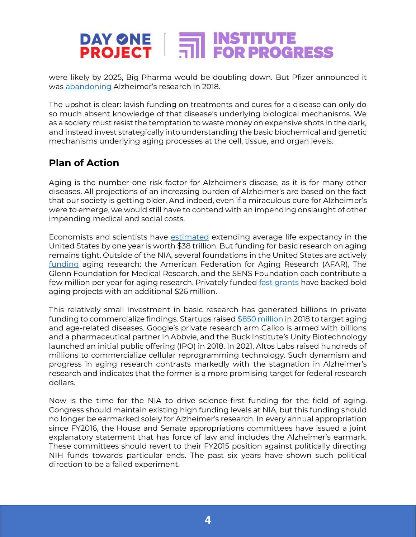# **DAY ONE | FOR PROGRESS**

were likely by 2025, Big Pharma would be doubling down. But Pfizer announced it was [abandoning](https://www.reuters.com/article/us-pfizer-alzheimers/pfizer-ends-research-for-new-alzheimers-parkinsons-drugs-idUSKBN1EW0TN) Alzheimer's research in 2018.

The upshot is clear: lavish funding on treatments and cures for a disease can only do so much absent knowledge of that disease's underlying biological mechanisms. We as a society must resist the temptation to waste money on expensive shots in the dark, and instead invest strategically into understanding the basic biochemical and genetic mechanisms underlying aging processes at the cell, tissue, and organ levels.

#### **Plan of Action**

Aging is the number-one risk factor for Alzheimer's disease, as it is for many other diseases. All projections of an increasing burden of Alzheimer's are based on the fact that our society is getting older. And indeed, even if a miraculous cure for Alzheimer's were to emerge, we would still have to contend with an impending onslaught of other impending medical and social costs.

Economists and scientists have [estimated](https://www.nature.com/articles/s43587-021-00080-0) extending average life expectancy in the United States by one year is worth \$38 trillion. But funding for basic research on aging remains tight. Outside of the NIA, several foundations in the United States are actively [funding](https://academic.oup.com/ppar/article/29/4/134/5585520) aging research: the American Federation for Aging Research (AFAR), The Glenn Foundation for Medical Research, and the SENS Foundation each contribute a few million per year for aging research. Privately funded [fast grants](https://impetusgrants.org/) have backed bold aging projects with an additional \$26 million.

This relatively small investment in basic research has generated billions in private funding to commercialize findings. Startups raised  $$850$  million in 2018 to target aging and age-related diseases. Google's private research arm Calico is armed with billions and a pharmaceutical partner in Abbvie, and the Buck Institute's Unity Biotechnology launched an initial public offering (IPO) in 2018. In 2021, Altos Labs raised hundreds of millions to commercialize cellular reprogramming technology. Such dynamism and progress in aging research contrasts markedly with the stagnation in Alzheimer's research and indicates that the former is a more promising target for federal research dollars.

Now is the time for the NIA to drive science-first funding for the field of aging. Congress should maintain existing high funding levels at NIA, but this funding should no longer be earmarked solely for Alzheimer's research. In every annual appropriation since FY2016, the House and Senate appropriations committees have issued a joint explanatory statement that has force of law and includes the Alzheimer's earmark. These committees should revert to their FY2015 position against politically directing NIH funds towards particular ends. The past six years have shown such political direction to be a failed experiment.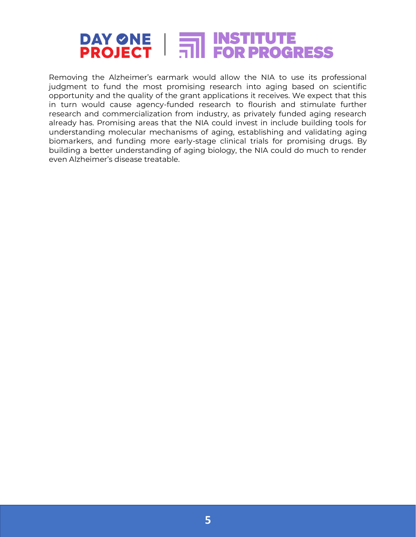## **DAY ONE | THE INSTITUTE<br>PROJECT | THE FOR PROGRESS**

Removing the Alzheimer's earmark would allow the NIA to use its professional judgment to fund the most promising research into aging based on scientific opportunity and the quality of the grant applications it receives. We expect that this in turn would cause agency-funded research to flourish and stimulate further research and commercialization from industry, as privately funded aging research already has. Promising areas that the NIA could invest in include building tools for understanding molecular mechanisms of aging, establishing and validating aging biomarkers, and funding more early-stage clinical trials for promising drugs. By building a better understanding of aging biology, the NIA could do much to render even Alzheimer's disease treatable.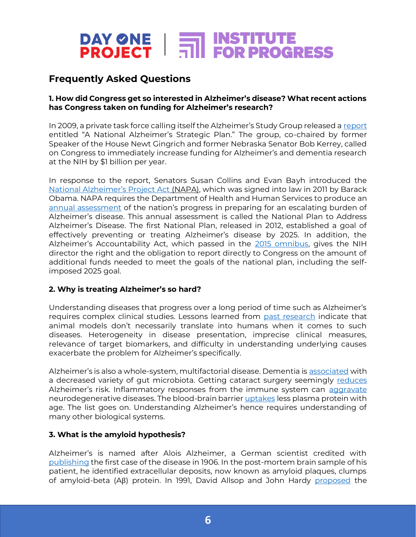### **DAY ONE | THE INSTITUTE<br>PROJECT | THE FOR PROGRESS**

#### **Frequently Asked Questions**

#### **1. How did Congress get so interested in Alzheimer's disease? What recent actions has Congress taken on funding for Alzheimer's research?**

In 2009, a private task force calling itself the Alzheimer's Study Group released a [report](https://www.alz.org/documents/national/report_asg_alzplan.pdf) entitled "A National Alzheimer's Strategic Plan." The group, co-chaired by former Speaker of the House Newt Gingrich and former Nebraska Senator Bob Kerrey, called on Congress to immediately increase funding for Alzheimer's and dementia research at the NIH by \$1 billion per year.

In response to the report, Senators Susan Collins and Evan Bayh introduced the [National Alzheimer's Project Act](https://www.congress.gov/111/plaws/publ375/PLAW-111publ375.pdf) (NAPA), which was signed into law in 2011 by Barack Obama. NAPA requires the Department of Health and Human Services to produce an [annual assessment](https://aspe.hhs.gov/collaborations-committees-advisory-groups/napa/napa-documents/napa-national-plans) of the nation's progress in preparing for an escalating burden of Alzheimer's disease. This annual assessment is called the National Plan to Address Alzheimer's Disease. The first National Plan, released in 2012, established a goal of effectively preventing or treating Alzheimer's disease by 2025. In addition, the Alzheimer's Accountability Act, which passed in the [2015 omnibus,](https://www.congress.gov/113/plaws/publ235/PLAW-113publ235.pdf) gives the NIH director the right and the obligation to report directly to Congress on the amount of additional funds needed to meet the goals of the national plan, including the selfimposed 2025 goal.

#### **2. Why is treating Alzheimer's so hard?**

Understanding diseases that progress over a long period of time such as Alzheimer's requires complex clinical studies. Lessons learned from [past research](https://ascpt.onlinelibrary.wiley.com/doi/full/10.1111/cts.12491) indicate that animal models don't necessarily translate into humans when it comes to such diseases. Heterogeneity in disease presentation, imprecise clinical measures, relevance of target biomarkers, and difficulty in understanding underlying causes exacerbate the problem for Alzheimer's specifically.

Alzheimer's is also a whole-system, multifactorial disease. Dementia i[s associated](https://www.nature.com/articles/s41598-017-13601-y) with a decreased variety of gut microbiota. Getting cataract surgery seemingly [reduces](https://www.newscientist.com/article/2300353-older-people-who-get-cataracts-removed-have-lower-dementia-risk/) Alzheimer's risk. Inflammatory responses from the immune system can [aggravate](https://www.nature.com/articles/s41582-021-00549-x) neurodegenerative diseases. The blood-brain barrie[r uptakes](https://pubmed.ncbi.nlm.nih.gov/32612231/) less plasma protein with age. The list goes on. Understanding Alzheimer's hence requires understanding of many other biological systems.

#### **3. What is the amyloid hypothesis?**

Alzheimer's is named after Alois Alzheimer, a German scientist credited with [publishing](https://www.ncbi.nlm.nih.gov/pmc/articles/PMC3181715/) the first case of the disease in 1906. In the post-mortem brain sample of his patient, he identified extracellular deposits, now known as amyloid plaques, clumps of amyloid-beta (Aβ) protein. In 1991, David Allsop and John Hardy [proposed](https://pubmed.ncbi.nlm.nih.gov/1763432/) the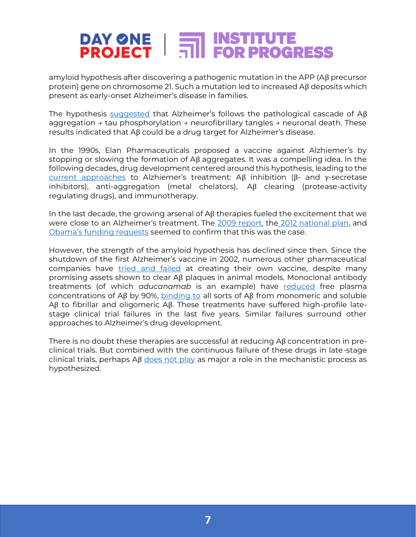# **DAY ONE | FOR PROGRESS<br>PROJECT | FOR PROGRESS**

amyloid hypothesis after discovering a pathogenic mutation in the APP (Aβ precursor protein) gene on chromosome 21. Such a mutation led to increased Aβ deposits which present as early-onset Alzheimer's disease in families.

The hypothesis [suggested](https://www.nature.com/articles/s41392-019-0063-8) that Alzheimer's follows the pathological cascade of Aβ aggregation → tau phosphorylation → neurofibrillary tangles → neuronal death. These results indicated that Aβ could be a drug target for Alzheimer's disease.

In the 1990s, Elan Pharmaceuticals proposed a vaccine against Alzhiemer's by stopping or slowing the formation of Aβ aggregates. It was a compelling idea. In the following decades, drug development centered around this hypothesis, leading to the [current approaches](https://www.nature.com/articles/s41392-019-0063-8) to Alzhiemer's treatment: Aβ inhibition (β- and γ-secretase inhibitors), anti-aggregation (metal chelators), Aβ clearing (protease-activity regulating drugs), and immunotherapy.

In the last decade, the growing arsenal of  $\Delta\beta$  therapies fueled the excitement that we were close to an Alzheimer's treatment. The [2009 report,](https://www.alz.org/documents/national/report_asg_alzplan.pdf) the [2012 national plan,](https://www.congress.gov/111/plaws/publ375/PLAW-111publ375.pdf) and [Obama's funding requests](https://docs.google.com/document/d/1iWjN2v7WxtZYqIQqI7hT2BYxsdEWZEl2aY-iSeMsINA/edit#heading=h.2et92p0) seemed to confirm that this was the case.

However, the strength of the amyloid hypothesis has declined since then. Since the shutdown of the first Alzheimer's vaccine in 2002, numerous other pharmaceutical companies have [tried and failed](https://www.science.org/content/blog-post/alzheimer-s-vaccines) at creating their own vaccine, despite many promising assets shown to clear Aβ plaques in animal models. Monoclonal antibody treatments (of which *aducanamab* is an example) have [reduced](https://www.nejm.org/doi/full/10.1056/NEJMoa1705971) free plasma concentrations of Aβ by 90%, [binding to](https://pubmed.ncbi.nlm.nih.gov/29221491/) all sorts of Aβ from monomeric and soluble Aβ to fibrillar and oligomeric Aβ. These treatments have suffered high-profile latestage clinical trial failures in the last five years. Similar failures surround other approaches to Alzheimer's drug development.

There is no doubt these therapies are successful at reducing Aβ concentration in preclinical trials. But combined with the continuous failure of these drugs in late-stage clinical trials, perhaps  $\Delta \beta$  [does not play](https://www.nature.com/articles/s41392-019-0063-8) as major a role in the mechanistic process as hypothesized.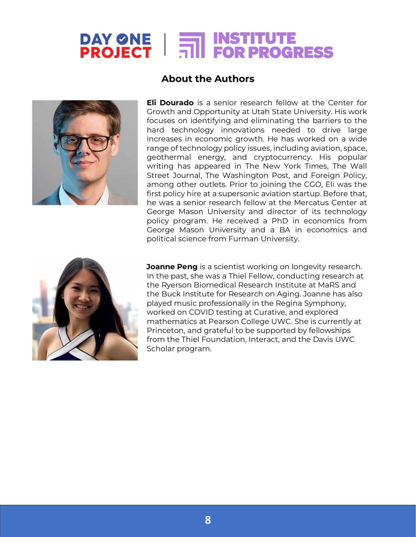# **DAY ONE | FOR PROGRESS**



#### **About the Authors**

**Eli Dourado** is a senior research fellow at the Center for Growth and Opportunity at Utah State University. His work focuses on identifying and eliminating the barriers to the hard technology innovations needed to drive large increases in economic growth. He has worked on a wide range of technology policy issues, including aviation, space, geothermal energy, and cryptocurrency. His popular writing has appeared in The New York Times, The Wall Street Journal, The Washington Post, and Foreign Policy, among other outlets. Prior to joining the CGO, Eli was the first policy hire at a supersonic aviation startup. Before that, he was a senior research fellow at the Mercatus Center at George Mason University and director of its technology policy program. He received a PhD in economics from George Mason University and a BA in economics and political science from Furman University.



**Joanne Peng** is a scientist working on longevity research. In the past, she was a Thiel Fellow, conducting research at the Ryerson Biomedical Research Institute at MaRS and the Buck Institute for Research on Aging. Joanne has also played music professionally in the Regina Symphony, worked on COVID testing at Curative, and explored mathematics at Pearson College UWC. She is currently at Princeton, and grateful to be supported by fellowships from the Thiel Foundation, Interact, and the Davis UWC Scholar program.